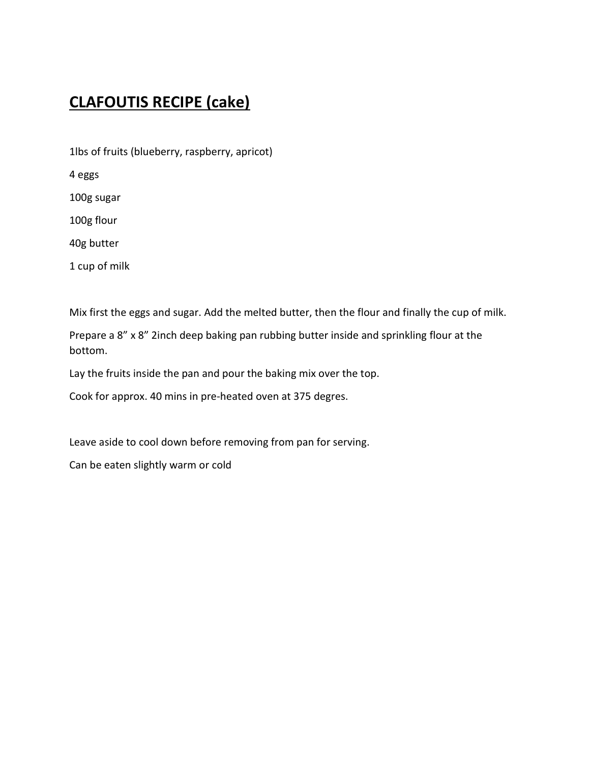## CLAFOUTIS RECIPE (cake)

1lbs of fruits (blueberry, raspberry, apricot)

4 eggs

100g sugar

100g flour

40g butter

1 cup of milk

Mix first the eggs and sugar. Add the melted butter, then the flour and finally the cup of milk.

Prepare a 8" x 8" 2inch deep baking pan rubbing butter inside and sprinkling flour at the bottom.

Lay the fruits inside the pan and pour the baking mix over the top.

Cook for approx. 40 mins in pre-heated oven at 375 degres.

Leave aside to cool down before removing from pan for serving.

Can be eaten slightly warm or cold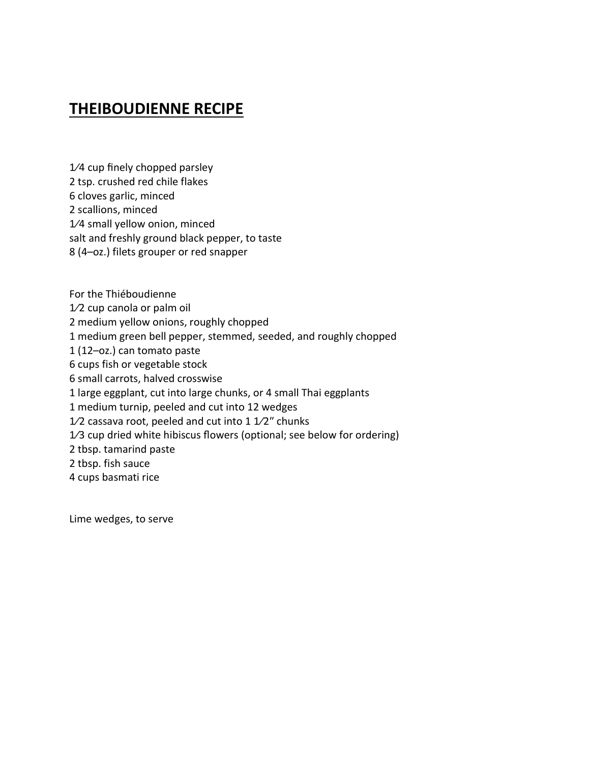#### THEIBOUDIENNE RECIPE

1⁄4 cup finely chopped parsley 2 tsp. crushed red chile flakes 6 cloves garlic, minced 2 scallions, minced 1⁄4 small yellow onion, minced salt and freshly ground black pepper, to taste 8 (4–oz.) filets grouper or red snapper

For the Thiéboudienne 1⁄2 cup canola or palm oil 2 medium yellow onions, roughly chopped 1 medium green bell pepper, stemmed, seeded, and roughly chopped 1 (12–oz.) can tomato paste 6 cups fish or vegetable stock 6 small carrots, halved crosswise 1 large eggplant, cut into large chunks, or 4 small Thai eggplants 1 medium turnip, peeled and cut into 12 wedges  $1/2$  cassava root, peeled and cut into  $11/2$ " chunks 1/3 cup dried white hibiscus flowers (optional; see below for ordering) 2 tbsp. tamarind paste 2 tbsp. fish sauce 4 cups basmati rice

Lime wedges, to serve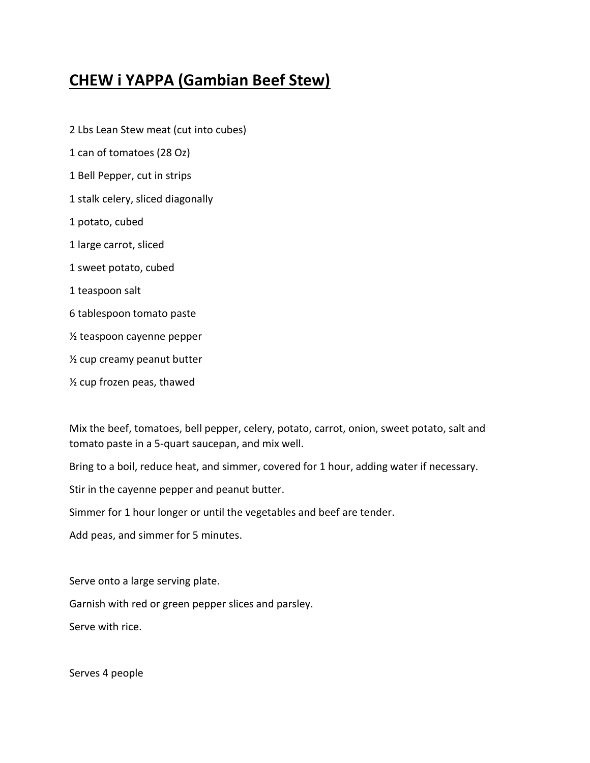## CHEW i YAPPA (Gambian Beef Stew)

2 Lbs Lean Stew meat (cut into cubes) 1 can of tomatoes (28 Oz) 1 Bell Pepper, cut in strips 1 stalk celery, sliced diagonally 1 potato, cubed 1 large carrot, sliced 1 sweet potato, cubed 1 teaspoon salt 6 tablespoon tomato paste ½ teaspoon cayenne pepper ½ cup creamy peanut butter ½ cup frozen peas, thawed

Mix the beef, tomatoes, bell pepper, celery, potato, carrot, onion, sweet potato, salt and tomato paste in a 5-quart saucepan, and mix well.

Bring to a boil, reduce heat, and simmer, covered for 1 hour, adding water if necessary.

Stir in the cayenne pepper and peanut butter.

Simmer for 1 hour longer or until the vegetables and beef are tender.

Add peas, and simmer for 5 minutes.

Serve onto a large serving plate.

Garnish with red or green pepper slices and parsley.

Serve with rice.

Serves 4 people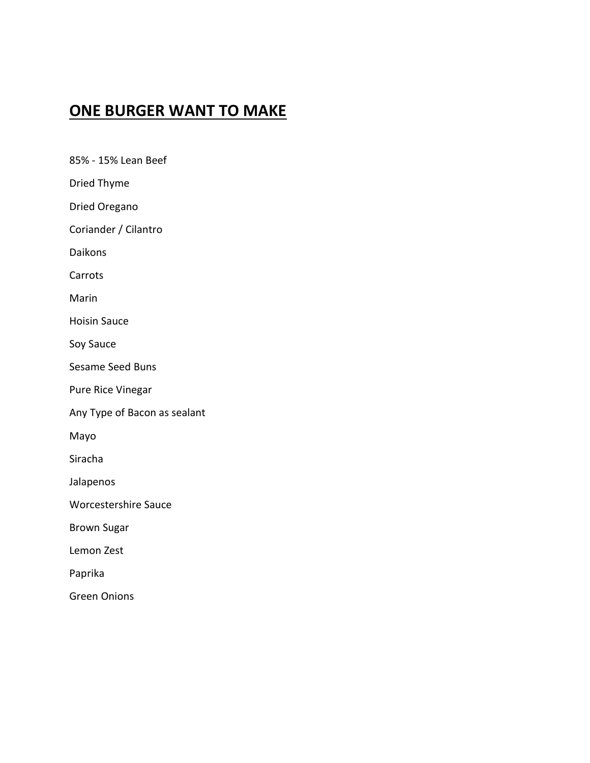### ONE BURGER WANT TO MAKE

85% - 15% Lean Beef Dried Thyme Dried Oregano Coriander / Cilantro Daikons Carrots Marin Hoisin Sauce Soy Sauce Sesame Seed Buns Pure Rice Vinegar Any Type of Bacon as sealant Mayo Siracha Jalapenos Worcestershire Sauce Brown Sugar Lemon Zest Paprika

Green Onions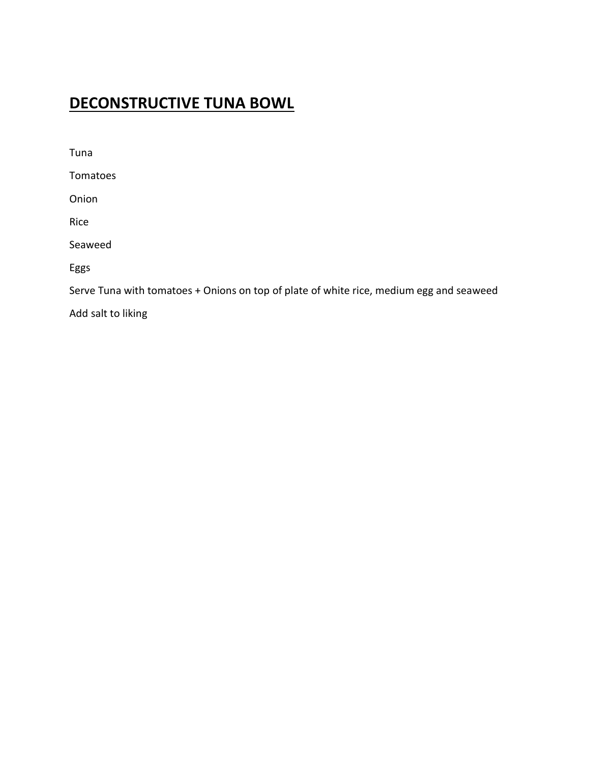# DECONSTRUCTIVE TUNA BOWL

Tuna

Tomatoes

Onion

Rice

Seaweed

Eggs

Serve Tuna with tomatoes + Onions on top of plate of white rice, medium egg and seaweed

Add salt to liking